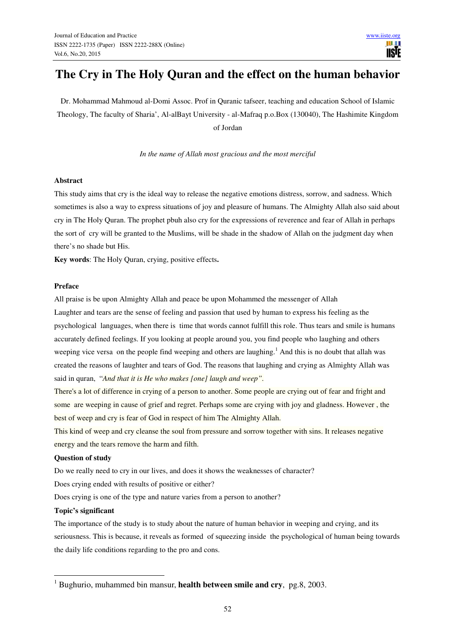# **The Cry in The Holy Quran and the effect on the human behavior**

Dr. Mohammad Mahmoud al-Domi Assoc. Prof in Quranic tafseer, teaching and education School of Islamic Theology, The faculty of Sharia', Al-alBayt University - al-Mafraq p.o.Box (130040), The Hashimite Kingdom of Jordan

*In the name of Allah most gracious and the most merciful*

#### **Abstract**

This study aims that cry is the ideal way to release the negative emotions distress, sorrow, and sadness. Which sometimes is also a way to express situations of joy and pleasure of humans. The Almighty Allah also said about cry in The Holy Quran. The prophet pbuh also cry for the expressions of reverence and fear of Allah in perhaps the sort of cry will be granted to the Muslims, will be shade in the shadow of Allah on the judgment day when there's no shade but His.

**Key words**: The Holy Quran, crying, positive effects**.** 

#### **Preface**

All praise is be upon Almighty Allah and peace be upon Mohammed the messenger of Allah Laughter and tears are the sense of feeling and passion that used by human to express his feeling as the psychological languages, when there is time that words cannot fulfill this role. Thus tears and smile is humans accurately defined feelings. If you looking at people around you, you find people who laughing and others weeping vice versa on the people find weeping and others are laughing.<sup>1</sup> And this is no doubt that allah was created the reasons of laughter and tears of God. The reasons that laughing and crying as Almighty Allah was said in quran, "*And that it is He who makes [one] laugh and weep".* 

There's a lot of difference in crying of a person to another. Some people are crying out of fear and fright and some are weeping in cause of grief and regret. Perhaps some are crying with joy and gladness. However , the best of weep and cry is fear of God in respect of him The Almighty Allah.

This kind of weep and cry cleanse the soul from pressure and sorrow together with sins. It releases negative energy and the tears remove the harm and filth.

#### **Question of study**

Do we really need to cry in our lives, and does it shows the weaknesses of character?

Does crying ended with results of positive or either?

Does crying is one of the type and nature varies from a person to another?

#### **Topic's significant**

 $\overline{a}$ 

The importance of the study is to study about the nature of human behavior in weeping and crying, and its seriousness. This is because, it reveals as formed of squeezing inside the psychological of human being towards the daily life conditions regarding to the pro and cons.

<sup>1</sup> Bughurio, muhammed bin mansur, **health between smile and cry**, pg.8, 2003.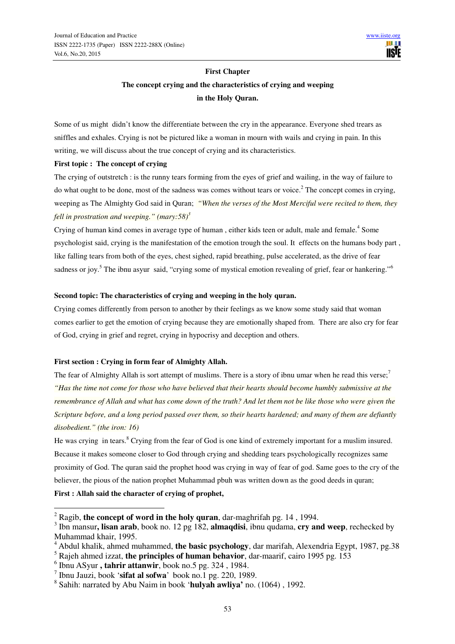## **First Chapter The concept crying and the characteristics of crying and weeping in the Holy Quran.**

Some of us might didn't know the differentiate between the cry in the appearance. Everyone shed trears as sniffles and exhales. Crying is not be pictured like a woman in mourn with wails and crying in pain. In this writing, we will discuss about the true concept of crying and its characteristics.

## **First topic : The concept of crying**

The crying of outstretch : is the runny tears forming from the eyes of grief and wailing, in the way of failure to do what ought to be done, most of the sadness was comes without tears or voice.<sup>2</sup> The concept comes in crying, weeping as The Almighty God said in Quran; *"When the verses of the Most Merciful were recited to them, they fell in prostration and weeping." (mary:58)<sup>3</sup>*

Crying of human kind comes in average type of human, either kids teen or adult, male and female.<sup>4</sup> Some psychologist said, crying is the manifestation of the emotion trough the soul. It effects on the humans body part , like falling tears from both of the eyes, chest sighed, rapid breathing, pulse accelerated, as the drive of fear sadness or joy.<sup>5</sup> The ibnu asyur said, "crying some of mystical emotion revealing of grief, fear or hankering."<sup>6</sup>

## **Second topic: The characteristics of crying and weeping in the holy quran.**

Crying comes differently from person to another by their feelings as we know some study said that woman comes earlier to get the emotion of crying because they are emotionally shaped from. There are also cry for fear of God, crying in grief and regret, crying in hypocrisy and deception and others.

## **First section : Crying in form fear of Almighty Allah.**

The fear of Almighty Allah is sort attempt of muslims. There is a story of ibnu umar when he read this verse;<sup>7</sup> *"Has the time not come for those who have believed that their hearts should become humbly submissive at the remembrance of Allah and what has come down of the truth? And let them not be like those who were given the Scripture before, and a long period passed over them, so their hearts hardened; and many of them are defiantly disobedient." (the iron: 16)*

He was crying in tears.<sup>8</sup> Crying from the fear of God is one kind of extremely important for a muslim insured. Because it makes someone closer to God through crying and shedding tears psychologically recognizes same proximity of God. The quran said the prophet hood was crying in way of fear of god. Same goes to the cry of the believer, the pious of the nation prophet Muhammad pbuh was written down as the good deeds in quran;

## **First : Allah said the character of crying of prophet,**

<sup>2</sup> Ragib, **the concept of word in the holy quran**, dar-maghrifah pg. 14 , 1994.

<sup>3</sup> Ibn mansur**, lisan arab**, book no. 12 pg 182, **almaqdisi**, ibnu qudama, **cry and weep**, rechecked by Muhammad khair, 1995.

<sup>4</sup> Abdul khalik, ahmed muhammed, **the basic psychology**, dar marifah, Alexendria Egypt, 1987, pg.38

<sup>5</sup> Rajeh ahmed izzat, **the principles of human behavior**, dar-maarif, cairo 1995 pg. 153

<sup>6</sup> Ibnu ASyur **, tahrir attanwir**, book no.5 pg. 324 , 1984.

<sup>7</sup> Ibnu Jauzi, book '**sifat al sofwa**' book no.1 pg. 220, 1989.

<sup>8</sup> Sahih: narrated by Abu Naim in book '**hulyah awliya'** no. (1064) , 1992.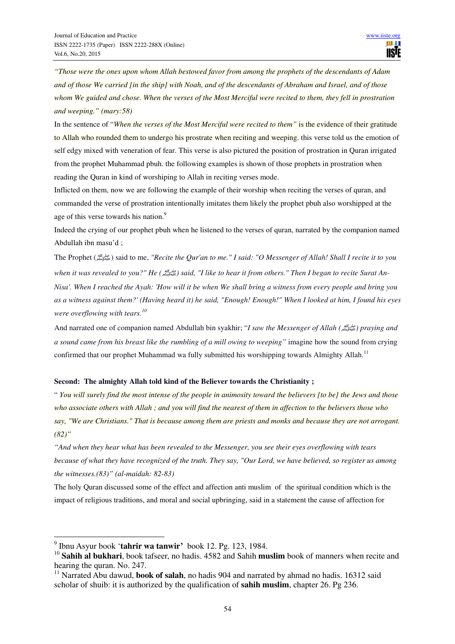*"Those were the ones upon whom Allah bestowed favor from among the prophets of the descendants of Adam and of those We carried [in the ship] with Noah, and of the descendants of Abraham and Israel, and of those whom We guided and chose. When the verses of the Most Merciful were recited to them, they fell in prostration and weeping." (mary:58)* 

In the sentence of "*When the verses of the Most Merciful were recited to them"* is the evidence of their gratitude to Allah who rounded them to undergo his prostrate when reciting and weeping. this verse told us the emotion of self edgy mixed with veneration of fear. This verse is also pictured the position of prostration in Quran irrigated from the prophet Muhammad pbuh. the following examples is shown of those prophets in prostration when reading the Quran in kind of worshiping to Allah in reciting verses mode.

Inflicted on them, now we are following the example of their worship when reciting the verses of quran, and commanded the verse of prostration intentionally imitates them likely the prophet pbuh also worshipped at the age of this verse towards his nation.<sup>9</sup>

Indeed the crying of our prophet pbuh when he listened to the verses of quran, narrated by the companion named Abdullah ibn masu'd ;

The Prophet (صلى الله عليه وسلم (said to me, *"Recite the Qur'an to me." I said: "O Messenger of Allah! Shall I recite it to you when it was revealed to you?" He (*صلى الله عليه وسلم *(said, "I like to hear it from others." Then I began to recite Surat An-Nisa'. When I reached the Ayah: 'How will it be when We shall bring a witness from every people and bring you as a witness against them?' (Having heard it) he said, "Enough! Enough!" When I looked at him, I found his eyes were overflowing with tears.<sup>10</sup>*

And narrated one of companion named Abdullah bin syakhir; "*I saw the Messenger of Allah (*صلى الله عليه وسلم *(praying and a sound came from his breast like the rumbling of a mill owing to weeping"* imagine how the sound from crying confirmed that our prophet Muhammad wa fully submitted his worshipping towards Almighty Allah.<sup>11</sup>

#### **Second: The almighty Allah told kind of the Believer towards the Christianity ;**

" *You will surely find the most intense of the people in animosity toward the believers [to be] the Jews and those who associate others with Allah ; and you will find the nearest of them in affection to the believers those who say, "We are Christians." That is because among them are priests and monks and because they are not arrogant. (82)"* 

*"And when they hear what has been revealed to the Messenger, you see their eyes overflowing with tears because of what they have recognized of the truth. They say, "Our Lord, we have believed, so register us among the witnesses.(83)" (al-maidah: 82-83)* 

The holy Quran discussed some of the effect and affection anti muslim of the spiritual condition which is the impact of religious traditions, and moral and social upbringing, said in a statement the cause of affection for

<sup>9</sup> Ibnu Asyur book '**tahrir wa tanwir'** book 12. Pg. 123, 1984.

<sup>&</sup>lt;sup>10</sup> Sahih al bukhari, book tafseer, no hadis. 4582 and Sahih muslim book of manners when recite and hearing the quran. No. 247.

<sup>&</sup>lt;sup>11</sup> Narrated Abu dawud, **book of salah**, no hadis 904 and narrated by ahmad no hadis. 16312 said scholar of shuib: it is authorized by the qualification of **sahih muslim**, chapter 26. Pg 236.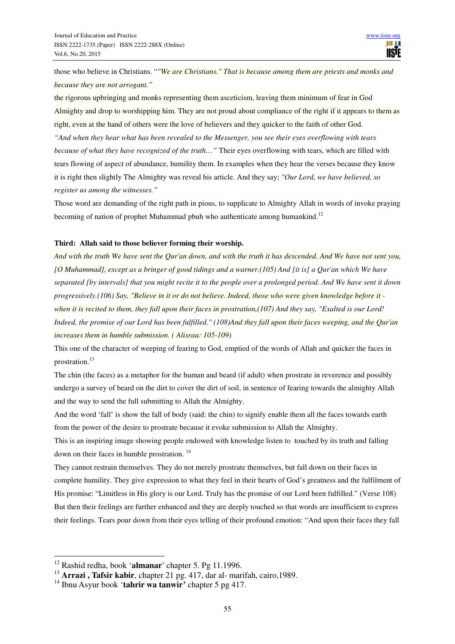those who believe in Christians. "*"We are Christians." That is because among them are priests and monks and because they are not arrogant."* 

the rigorous upbringing and monks representing them asceticism, leaving them minimum of fear in God Almighty and drop to worshipping him. They are not proud about compliance of the right if it appears to them as right, even at the hand of others were the love of believers and they quicker to the faith of other God. *"And when they hear what has been revealed to the Messenger, you see their eyes overflowing with tears because of what they have recognized of the truth…"* Their eyes overflowing with tears, which are filled with tears flowing of aspect of abundance, humility them. In examples when they hear the verses because they know it is right then slightly The Almighty was reveal his article. And they say; *"Our Lord, we have believed, so* 

*register us among the witnesses."* 

Those word are demanding of the right path in pious, to supplicate to Almighty Allah in words of invoke praying becoming of nation of prophet Muhammad pbuh who authenticate among humankind.<sup>12</sup>

#### **Third: Allah said to those believer forming their worship.**

*And with the truth We have sent the Qur'an down, and with the truth it has descended. And We have not sent you, [O Muhammad], except as a bringer of good tidings and a warner.(105) And [it is] a Qur'an which We have separated [by intervals] that you might recite it to the people over a prolonged period. And We have sent it down progressively.(106) Say, "Believe in it or do not believe. Indeed, those who were given knowledge before it when it is recited to them, they fall upon their faces in prostration,(107) And they say, "Exalted is our Lord! Indeed, the promise of our Lord has been fulfilled." (108)And they fall upon their faces weeping, and the Qur'an increases them in humble submission. ( Alisraa: 105-109)* 

This one of the character of weeping of fearing to God, emptied of the words of Allah and quicker the faces in prostration.<sup>13</sup>

The chin (the faces) as a metaphor for the human and beard (if adult) when prostrate in reverence and possibly undergo a survey of beard on the dirt to cover the dirt of soil, in sentence of fearing towards the almighty Allah and the way to send the full submitting to Allah the Almighty.

And the word 'fall' is show the fall of body (said: the chin) to signify enable them all the faces towards earth from the power of the desire to prostrate because it evoke submission to Allah the Almighty.

This is an inspiring image showing people endowed with knowledge listen to touched by its truth and falling down on their faces in humble prostration. <sup>14</sup>

They cannot restrain themselves. They do not merely prostrate themselves, but fall down on their faces in complete humility. They give expression to what they feel in their hearts of God's greatness and the fulfilment of His promise: "Limitless in His glory is our Lord. Truly has the promise of our Lord been fulfilled." (Verse 108) But then their feelings are further enhanced and they are deeply touched so that words are insufficient to express their feelings. Tears pour down from their eyes telling of their profound emotion: "And upon their faces they fall

 $\overline{a}$ <sup>12</sup> Rashid redha, book '**almanar**' chapter 5. Pg 11.1996.

<sup>13</sup> **Arrazi , Tafsir kabir**, chapter 21 pg. 417, dar al- marifah, cairo,1989.

<sup>14</sup> Ibnu Asyur book '**tahrir wa tanwir'** chapter 5 pg 417.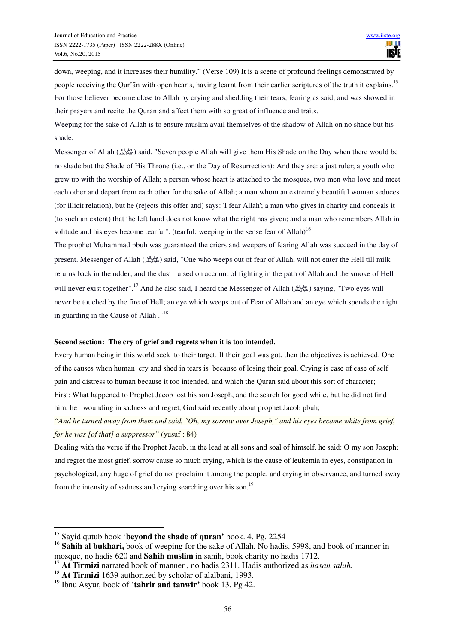down, weeping, and it increases their humility." (Verse 109) It is a scene of profound feelings demonstrated by people receiving the Qur'an with open hearts, having learnt from their earlier scriptures of the truth it explains.<sup>15</sup> For those believer become close to Allah by crying and shedding their tears, fearing as said, and was showed in their prayers and recite the Quran and affect them with so great of influence and traits.

Weeping for the sake of Allah is to ensure muslim avail themselves of the shadow of Allah on no shade but his shade.

Messenger of Allah (صلى الله وسلم) said, "Seven people Allah will give them His Shade on the Day when there would be no shade but the Shade of His Throne (i.e., on the Day of Resurrection): And they are: a just ruler; a youth who grew up with the worship of Allah; a person whose heart is attached to the mosques, two men who love and meet each other and depart from each other for the sake of Allah; a man whom an extremely beautiful woman seduces (for illicit relation), but he (rejects this offer and) says: 'I fear Allah'; a man who gives in charity and conceals it (to such an extent) that the left hand does not know what the right has given; and a man who remembers Allah in solitude and his eyes become tearful". (tearful: weeping in the sense fear of Allah)<sup>16</sup>

The prophet Muhammad pbuh was guaranteed the criers and weepers of fearing Allah was succeed in the day of present. Messenger of Allah  $\binom{d\mu}{\mu}$ said, "One who weeps out of fear of Allah, will not enter the Hell till milk returns back in the udder; and the dust raised on account of fighting in the path of Allah and the smoke of Hell will never exist together".<sup>17</sup> And he also said, I heard the Messenger of Allah (صلى الله ) saying, "Two eyes will never be touched by the fire of Hell; an eye which weeps out of Fear of Allah and an eye which spends the night in guarding in the Cause of Allah ."<sup>18</sup>

#### **Second section: The cry of grief and regrets when it is too intended.**

Every human being in this world seek to their target. If their goal was got, then the objectives is achieved. One of the causes when human cry and shed in tears is because of losing their goal. Crying is case of ease of self pain and distress to human because it too intended, and which the Quran said about this sort of character; First: What happened to Prophet Jacob lost his son Joseph, and the search for good while, but he did not find him, he wounding in sadness and regret, God said recently about prophet Jacob pbuh;

*"And he turned away from them and said, "Oh, my sorrow over Joseph," and his eyes became white from grief, for he was [of that] a suppressor"* (yusuf : 84)

Dealing with the verse if the Prophet Jacob, in the lead at all sons and soal of himself, he said: O my son Joseph; and regret the most grief, sorrow cause so much crying, which is the cause of leukemia in eyes, constipation in psychological, any huge of grief do not proclaim it among the people, and crying in observance, and turned away from the intensity of sadness and crying searching over his son.<sup>19</sup>

<sup>15</sup> Sayid qutub book '**beyond the shade of quran'** book. 4. Pg. 2254

<sup>&</sup>lt;sup>16</sup> Sahih al bukhari, book of weeping for the sake of Allah. No hadis. 5998, and book of manner in mosque, no hadis 620 and **Sahih muslim** in sahih, book charity no hadis 1712.

<sup>17</sup> **At Tirmizi** narrated book of manner , no hadis 2311. Hadis authorized as *hasan sahih.*

<sup>&</sup>lt;sup>18</sup> At Tirmizi 1639 authorized by scholar of alalbani, 1993.

<sup>19</sup> Ibnu Asyur, book of '**tahrir and tanwir'** book 13. Pg 42.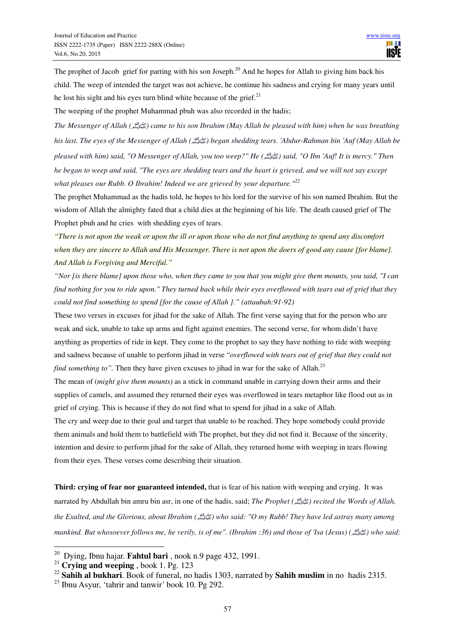The prophet of Jacob grief for parting with his son Joseph.<sup>20</sup> And he hopes for Allah to giving him back his child. The weep of intended the target was not achieve, he continue his sadness and crying for many years until he lost his sight and his eyes turn blind white because of the grief. $21$ 

The weeping of the prophet Muhammad pbuh was also recorded in the hadis;

*The Messenger of Allah (*صلى الله عليه وسلم *(came to his son Ibrahim (May Allah be pleased with him) when he was breathing his last. The eyes of the Messenger of Allah (*صلى الله عليه وسلم *(began shedding tears. 'Abdur-Rahman bin 'Auf (May Allah be pleased with him) said, "O Messenger of Allah, you too weep?" He (*صلى الله عليه وسلم *(said, "O Ibn 'Auf! It is mercy." Then he began to weep and said, "The eyes are shedding tears and the heart is grieved, and we will not say except what pleases our Rubb. O Ibrahim! Indeed we are grieved by your departure."<sup>22</sup>*

The prophet Muhammad as the hadis told, he hopes to his lord for the survive of his son named Ibrahim. But the wisdom of Allah the almighty fated that a child dies at the beginning of his life. The death caused grief of The Prophet pbuh and he cries with shedding eyes of tears.

*"There is not upon the weak or upon the ill or upon those who do not find anything to spend any discomfort when they are sincere to Allah and His Messenger. There is not upon the doers of good any cause [for blame]. And Allah is Forgiving and Merciful."* 

*"Nor [is there blame] upon those who, when they came to you that you might give them mounts, you said, "I can find nothing for you to ride upon." They turned back while their eyes overflowed with tears out of grief that they could not find something to spend [for the cause of Allah ]." (attaubah:91-92)* 

These two verses in excuses for jihad for the sake of Allah. The first verse saying that for the person who are weak and sick, unable to take up arms and fight against enemies. The second verse, for whom didn't have anything as properties of ride in kept. They come to the prophet to say they have nothing to ride with weeping and sadness because of unable to perform jihad in verse "*overflowed with tears out of grief that they could not find something to"*. Then they have given excuses to jihad in war for the sake of Allah.<sup>23</sup>

The mean of (*might give them mounts)* as a stick in command unable in carrying down their arms and their supplies of camels, and assumed they returned their eyes was overflowed in tears metaphor like flood out as in grief of crying. This is because if they do not find what to spend for jihad in a sake of Allah.

The cry and weep due to their goal and target that unable to be reached. They hope somebody could provide them animals and hold them to battlefield with The prophet, but they did not find it. Because of the sincerity, intention and desire to perform jihad for the sake of Allah, they returned home with weeping in tears flowing from their eyes. These verses come describing their situation.

**Third: crying of fear nor guaranteed intended,** that is fear of his nation with weeping and crying. It was narrated by Abdullah bin amru bin asr, in one of the hadis, said; *The Prophet (*صلى الله عليه وسلم *(recited the Words of Allah, the Exalted, and the Glorious, about Ibrahim (*صلى الله عليه وسلم *(who said: "O my Rubb! They have led astray many among mankind. But whosoever follows me, he verily, is of me". (Ibrahim :36) and those of 'Isa (Jesus) (*صلى الله عليه وسلم *(who said:* 

<sup>20</sup> Dying, Ibnu hajar. **Fahtul bari** , nook n.9 page 432, 1991.

<sup>21</sup> **Crying and weeping** , book 1. Pg. 123

<sup>22</sup> **Sahih al bukhari**. Book of funeral, no hadis 1303, narrated by **Sahih muslim** in no hadis 2315.

 $23$  Ibnu Asyur, 'tahrir and tanwir' book 10. Pg 292.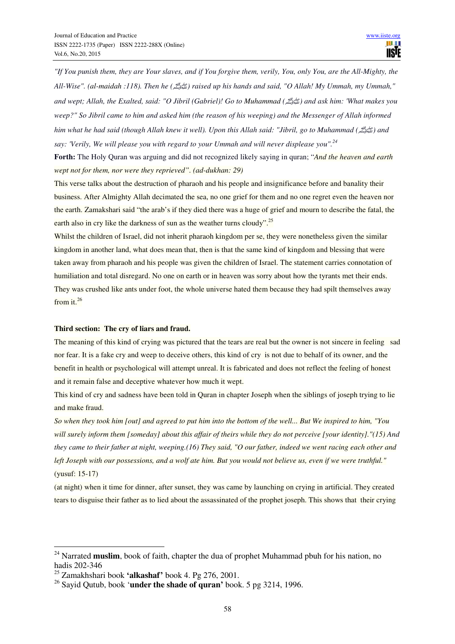*"If You punish them, they are Your slaves, and if You forgive them, verily, You, only You, are the All-Mighty, the All-Wise". (al-maidah :118). Then he (*صلى الله عليه وسلم *(raised up his hands and said, "O Allah! My Ummah, my Ummah," and wept; Allah, the Exalted, said: "O Jibril (Gabriel)! Go to Muhammad (*صلى الله عليه وسلم *(and ask him: 'What makes you weep?" So Jibril came to him and asked him (the reason of his weeping) and the Messenger of Allah informed him what he had said (though Allah knew it well). Upon this Allah said: "Jibril, go to Muhammad (*صلى الله عليه وسلم *(and say: 'Verily, We will please you with regard to your Ummah and will never displease you".<sup>24</sup>*

**Forth:** The Holy Quran was arguing and did not recognized likely saying in quran; "*And the heaven and earth wept not for them, nor were they reprieved". (ad-dukhan: 29)* 

This verse talks about the destruction of pharaoh and his people and insignificance before and banality their business. After Almighty Allah decimated the sea, no one grief for them and no one regret even the heaven nor the earth. Zamakshari said "the arab's if they died there was a huge of grief and mourn to describe the fatal, the earth also in cry like the darkness of sun as the weather turns cloudy".<sup>25</sup>

Whilst the children of Israel, did not inherit pharaoh kingdom per se, they were nonetheless given the similar kingdom in another land, what does mean that, then is that the same kind of kingdom and blessing that were taken away from pharaoh and his people was given the children of Israel. The statement carries connotation of humiliation and total disregard. No one on earth or in heaven was sorry about how the tyrants met their ends. They was crushed like ants under foot, the whole universe hated them because they had spilt themselves away from it.<sup>26</sup>

#### **Third section: The cry of liars and fraud.**

The meaning of this kind of crying was pictured that the tears are real but the owner is not sincere in feeling sad nor fear. It is a fake cry and weep to deceive others, this kind of cry is not due to behalf of its owner, and the benefit in health or psychological will attempt unreal. It is fabricated and does not reflect the feeling of honest and it remain false and deceptive whatever how much it wept.

This kind of cry and sadness have been told in Quran in chapter Joseph when the siblings of joseph trying to lie and make fraud.

*So when they took him [out] and agreed to put him into the bottom of the well... But We inspired to him, "You will surely inform them [someday] about this affair of theirs while they do not perceive [your identity]."(15) And they came to their father at night, weeping.(16) They said, "O our father, indeed we went racing each other and left Joseph with our possessions, and a wolf ate him. But you would not believe us, even if we were truthful."*  (yusuf: 15-17)

(at night) when it time for dinner, after sunset, they was came by launching on crying in artificial. They created tears to disguise their father as to lied about the assassinated of the prophet joseph. This shows that their crying

<sup>&</sup>lt;sup>24</sup> Narrated **muslim**, book of faith, chapter the dua of prophet Muhammad pbuh for his nation, no hadis 202-346

<sup>25</sup> Zamakhshari book **'alkashaf'** book 4. Pg 276, 2001.

<sup>26</sup> Sayid Qutub, book '**under the shade of quran'** book. 5 pg 3214, 1996.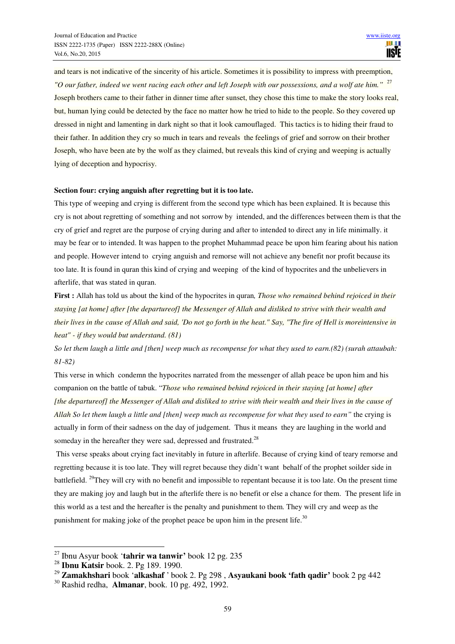and tears is not indicative of the sincerity of his article. Sometimes it is possibility to impress with preemption, *"O our father, indeed we went racing each other and left Joseph with our possessions, and a wolf ate him."* <sup>27</sup> Joseph brothers came to their father in dinner time after sunset, they chose this time to make the story looks real, but, human lying could be detected by the face no matter how he tried to hide to the people. So they covered up dressed in night and lamenting in dark night so that it look camouflaged. This tactics is to hiding their fraud to their father. In addition they cry so much in tears and reveals the feelings of grief and sorrow on their brother Joseph, who have been ate by the wolf as they claimed, but reveals this kind of crying and weeping is actually lying of deception and hypocrisy.

## **Section four: crying anguish after regretting but it is too late.**

This type of weeping and crying is different from the second type which has been explained. It is because this cry is not about regretting of something and not sorrow by intended, and the differences between them is that the cry of grief and regret are the purpose of crying during and after to intended to direct any in life minimally. it may be fear or to intended. It was happen to the prophet Muhammad peace be upon him fearing about his nation and people. However intend to crying anguish and remorse will not achieve any benefit nor profit because its too late. It is found in quran this kind of crying and weeping of the kind of hypocrites and the unbelievers in afterlife, that was stated in quran.

**First :** Allah has told us about the kind of the hypocrites in quran*, Those who remained behind rejoiced in their staying [at home] after [the departureof] the Messenger of Allah and disliked to strive with their wealth and their lives in the cause of Allah and said, 'Do not go forth in the heat." Say, "The fire of Hell is moreintensive in heat" - if they would but understand. (81)* 

*So let them laugh a little and [then] weep much as recompense for what they used to earn.(82) (surah attaubah: 81-82)* 

This verse in which condemn the hypocrites narrated from the messenger of allah peace be upon him and his companion on the battle of tabuk. "*Those who remained behind rejoiced in their staying [at home] after [the departureof] the Messenger of Allah and disliked to strive with their wealth and their lives in the cause of Allah So let them laugh a little and [then] weep much as recompense for what they used to earn"* the crying is actually in form of their sadness on the day of judgement. Thus it means they are laughing in the world and someday in the hereafter they were sad, depressed and frustrated.<sup>28</sup>

 This verse speaks about crying fact inevitably in future in afterlife. Because of crying kind of teary remorse and regretting because it is too late. They will regret because they didn't want behalf of the prophet soilder side in battlefield. <sup>29</sup>They will cry with no benefit and impossible to repentant because it is too late. On the present time they are making joy and laugh but in the afterlife there is no benefit or else a chance for them. The present life in this world as a test and the hereafter is the penalty and punishment to them. They will cry and weep as the punishment for making joke of the prophet peace be upon him in the present life.<sup>30</sup>

<sup>27</sup> Ibnu Asyur book '**tahrir wa tanwir'** book 12 pg. 235

<sup>28</sup> **Ibnu Katsir** book. 2. Pg 189. 1990.

<sup>29</sup> **Zamakhshari** book '**alkashaf** ' book 2. Pg 298 , **Asyaukani book 'fath qadir'** book 2 pg 442

<sup>30</sup> Rashid redha, **Almanar**, book. 10 pg. 492, 1992.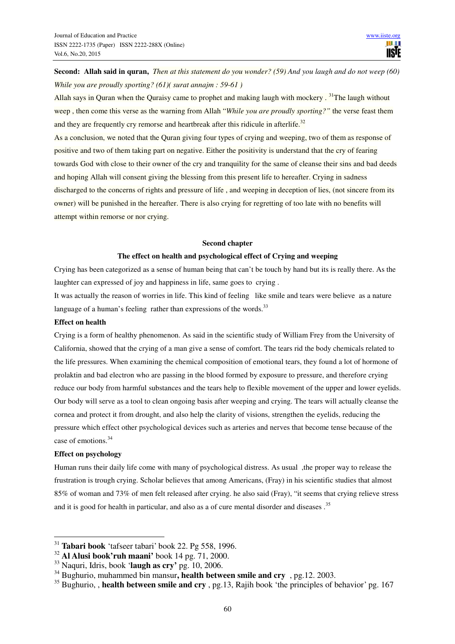**Second: Allah said in quran,** *Then at this statement do you wonder? (59) And you laugh and do not weep (60) While you are proudly sporting? (61)( surat annajm : 59-61 )* 

Allah says in Ouran when the Ouraisy came to prophet and making laugh with mockery.<sup>31</sup>The laugh without weep , then come this verse as the warning from Allah "*While you are proudly sporting?"* the verse feast them and they are frequently cry remorse and heartbreak after this ridicule in afterlife.<sup>32</sup>

As a conclusion, we noted that the Quran giving four types of crying and weeping, two of them as response of positive and two of them taking part on negative. Either the positivity is understand that the cry of fearing towards God with close to their owner of the cry and tranquility for the same of cleanse their sins and bad deeds and hoping Allah will consent giving the blessing from this present life to hereafter. Crying in sadness discharged to the concerns of rights and pressure of life , and weeping in deception of lies, (not sincere from its owner) will be punished in the hereafter. There is also crying for regretting of too late with no benefits will attempt within remorse or nor crying.

#### **Second chapter**

#### **The effect on health and psychological effect of Crying and weeping**

Crying has been categorized as a sense of human being that can't be touch by hand but its is really there. As the laughter can expressed of joy and happiness in life, same goes to crying .

It was actually the reason of worries in life. This kind of feeling like smile and tears were believe as a nature language of a human's feeling rather than expressions of the words.<sup>33</sup>

## **Effect on health**

Crying is a form of healthy phenomenon. As said in the scientific study of William Frey from the University of California, showed that the crying of a man give a sense of comfort. The tears rid the body chemicals related to the life pressures. When examining the chemical composition of emotional tears, they found a lot of hormone of prolaktin and bad electron who are passing in the blood formed by exposure to pressure, and therefore crying reduce our body from harmful substances and the tears help to flexible movement of the upper and lower eyelids. Our body will serve as a tool to clean ongoing basis after weeping and crying. The tears will actually cleanse the cornea and protect it from drought, and also help the clarity of visions, strengthen the eyelids, reducing the pressure which effect other psychological devices such as arteries and nerves that become tense because of the case of emotions.<sup>34</sup>

#### **Effect on psychology**

 $\overline{a}$ 

Human runs their daily life come with many of psychological distress. As usual ,the proper way to release the frustration is trough crying. Scholar believes that among Americans, (Fray) in his scientific studies that almost 85% of woman and 73% of men felt released after crying. he also said (Fray), "it seems that crying relieve stress and it is good for health in particular, and also as a of cure mental disorder and diseases.<sup>35</sup>

<sup>31</sup> **Tabari book** 'tafseer tabari' book 22. Pg 558, 1996.

<sup>32</sup> **Al Alusi book'ruh maani'** book 14 pg. 71, 2000.

<sup>33</sup> Naquri, Idris, book '**laugh as cry'** pg. 10, 2006.

<sup>34</sup> Bughurio, muhammed bin mansur**, health between smile and cry** , pg.12. 2003.

<sup>35</sup> Bughurio, , **health between smile and cry** , pg.13, Rajih book 'the principles of behavior' pg. 167